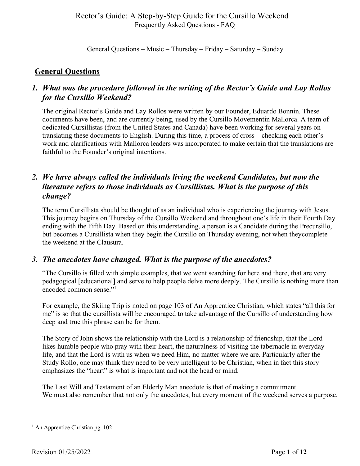General Questions – Music – Thursday – Friday – Saturday – Sunday

### **General Questions**

# *1. What was the procedure followed in the writing of the Rector's Guide and Lay Rollos for the Cursillo Weekend?*

The original Rector's Guide and Lay Rollos were written by our Founder, Eduardo Bonnín. These documents have been, and are currently being, used by the Cursillo Movementin Mallorca. A team of dedicated Cursillistas (from the United States and Canada) have been working for several years on translating these documents to English. During this time, a process of cross – checking each other's work and clarifications with Mallorca leaders was incorporated to make certain that the translations are faithful to the Founder's original intentions.

# *2. We have always called the individuals living the weekend Candidates, but now the literature refers to those individuals as Cursillistas. What is the purpose of this change?*

The term Cursillista should be thought of as an individual who is experiencing the journey with Jesus. This journey begins on Thursday of the Cursillo Weekend and throughout one's life in their Fourth Day ending with the Fifth Day. Based on this understanding, a person is a Candidate during the Precursillo, but becomes a Cursillista when they begin the Cursillo on Thursday evening, not when theycomplete the weekend at the Clausura.

# *3. The anecdotes have changed. What is the purpose of the anecdotes?*

"The Cursillo is filled with simple examples, that we went searching for here and there, that are very pedagogical [educational] and serve to help people delve more deeply. The Cursillo is nothing more than encoded common sense<sup>"</sup>

For example, the Skiing Trip is noted on page 103 of An Apprentice Christian, which states "all this for me" is so that the cursillista will be encouraged to take advantage of the Cursillo of understanding how deep and true this phrase can be for them.

The Story of John shows the relationship with the Lord is a relationship of friendship, that the Lord likes humble people who pray with their heart, the naturalness of visiting the tabernacle in everyday life, and that the Lord is with us when we need Him, no matter where we are. Particularly after the Study Rollo, one may think they need to be very intelligent to be Christian, when in fact this story emphasizes the "heart" is what is important and not the head or mind.

The Last Will and Testament of an Elderly Man anecdote is that of making a commitment. We must also remember that not only the anecdotes, but every moment of the weekend serves a purpose.

 $<sup>1</sup>$  An Apprentice Christian pg. 102</sup>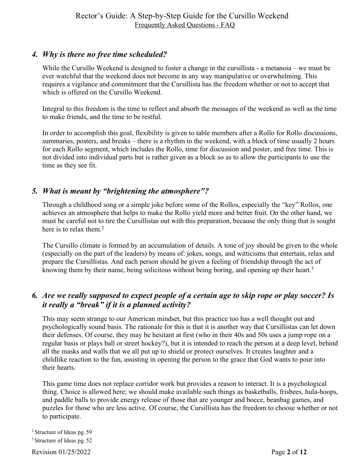# *4. Why is there no free time scheduled?*

While the Cursillo Weekend is designed to foster a change in the cursillista - a metanoia – we must be ever watchful that the weekend does not become in any way manipulative or overwhelming. This requires a vigilance and commitment that the Cursillista has the freedom whether or not to accept that which is offered on the Cursillo Weekend.

Integral to this freedom is the time to reflect and absorb the messages of the weekend as well as the time to make friends, and the time to be restful.

In order to accomplish this goal, flexibility is given to table members after a Rollo for Rollo discussions, summaries, posters, and breaks – there is a rhythm to the weekend, with a block of time usually 2 hours for each Rollo segment, which includes the Rollo, time for discussion and poster, and free time. This is not divided into individual parts but is rather given as a block so as to allow the participants to use the time as they see fit.

# *5. What is meant by "brightening the atmosphere"?*

Through a childhood song or a simple joke before some of the Rollos, especially the "key" Rollos, one achieves an atmosphere that helps to make the Rollo yield more and better fruit. On the other hand, we must be careful not to tire the Cursillistas out with this preparation, because the only thing that is sought here is to relax them.<sup>2</sup>

The Cursillo climate is formed by an accumulation of details. A tone of joy should be given to the whole (especially on the part of the leaders) by means of: jokes, songs, and witticisms that entertain, relax and prepare the Cursillistas. And each person should be given a feeling of friendship through the act of knowing them by their name, being solicitous without being boring, and opening up their heart.<sup>3</sup>

# *6. Are we really supposed to expect people of a certain age to skip rope or play soccer? Is it really a "break" if it is a planned activity?*

This may seem strange to our American mindset, but this practice too has a well thought out and psychologically sound basis. The rationale for this is that it is another way that Cursillistas can let down their defenses. Of course, they may be hesitant at first (who in their 40s and 50s uses a jump rope on a regular basis or plays ball or street hockey?), but it is intended to reach the person at a deep level, behind all the masks and walls that we all put up to shield or protect ourselves. It creates laughter and a childlike reaction to the fun, assisting in opening the person to the grace that God wants to pour into their hearts.

This game time does not replace corridor work but provides a reason to interact. It is a psychological thing. Choice is allowed here; we should make available such things as basketballs, frisbees, hula-hoops, and paddle balls to provide energy release of those that are younger and bocce, beanbag games, and puzzles for those who are less active. Of course, the Cursillista has the freedom to choose whether or not to participate.

<sup>2</sup> Structure of Ideas pg. 59

<sup>3</sup> Structure of Ideas pg. 52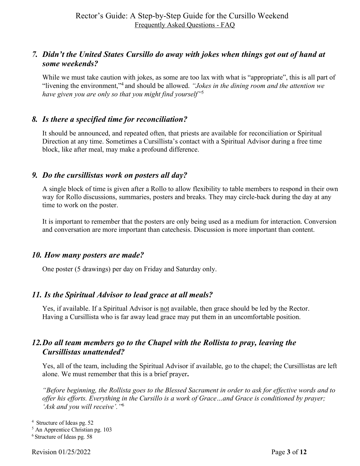# *7. Didn't the United States Cursillo do away with jokes when things got out of hand at some weekends?*

While we must take caution with jokes, as some are too lax with what is "appropriate", this is all part of "livening the environment,"4 and should be allowed. *"Jokes in the dining room and the attention we have given you are only so that you might find yourself"*<sup>5</sup>

# *8. Is there a specified time for reconciliation?*

It should be announced, and repeated often, that priests are available for reconciliation or Spiritual Direction at any time. Sometimes a Cursillista's contact with a Spiritual Advisor during a free time block, like after meal, may make a profound difference.

#### *9. Do the cursillistas work on posters all day?*

A single block of time is given after a Rollo to allow flexibility to table members to respond in their own way for Rollo discussions, summaries, posters and breaks. They may circle-back during the day at any time to work on the poster.

It is important to remember that the posters are only being used as a medium for interaction. Conversion and conversation are more important than catechesis. Discussion is more important than content.

#### *10. How many posters are made?*

One poster (5 drawings) per day on Friday and Saturday only.

#### *11. Is the Spiritual Advisor to lead grace at all meals?*

Yes, if available. If a Spiritual Advisor is not available, then grace should be led by the Rector. Having a Cursillista who is far away lead grace may put them in an uncomfortable position.

#### *12.Do all team members go to the Chapel with the Rollista to pray, leaving the Cursillistas unattended?*

Yes, all of the team, including the Spiritual Advisor if available, go to the chapel; the Cursillistas are left alone. We must remember that this is a brief prayer**.**

*"Before beginning, the Rollista goes to the Blessed Sacrament in order to ask for effective words and to offer his efforts. Everything in the Cursillo is a work of Grace…and Grace is conditioned by prayer; 'Ask and you will receive'."*<sup>6</sup>

<sup>4</sup> Structure of Ideas pg. 52

<sup>5</sup> An Apprentice Christian pg. 103

<sup>6</sup> Structure of Ideas pg. 58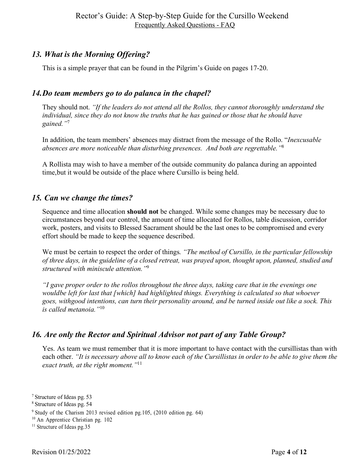# *13. What is the Morning Offering?*

This is a simple prayer that can be found in the Pilgrim's Guide on pages 17-20.

# *14.Do team members go to do palanca in the chapel?*

They should not. *"If the leaders do not attend all the Rollos, they cannot thoroughly understand the individual, since they do not know the truths that he has gained or those that he should have gained."*<sup>7</sup>

In addition, the team members' absences may distract from the message of the Rollo. "*Inexcusable absences are more noticeable than disturbing presences. And both are regrettable."*<sup>8</sup>

A Rollista may wish to have a member of the outside community do palanca during an appointed time,but it would be outside of the place where Cursillo is being held.

# *15. Can we change the times?*

Sequence and time allocation **should not** be changed. While some changes may be necessary due to circumstances beyond our control, the amount of time allocated for Rollos, table discussion, corridor work, posters, and visits to Blessed Sacrament should be the last ones to be compromised and every effort should be made to keep the sequence described.

We must be certain to respect the order of things. *"The method of Cursillo, in the particular fellowship of three days, in the guideline of a closed retreat, was prayed upon, thought upon, planned, studied and structured with miniscule attention."*<sup>9</sup>

*"I gave proper order to the rollos throughout the three days, taking care that in the evenings one wouldbe left for last that [which] had highlighted things. Everything is calculated so that whoever goes, withgood intentions, can turn their personality around, and be turned inside out like a sock. This is called metanoia."*<sup>10</sup>

# *16. Are only the Rector and Spiritual Advisor not part of any Table Group?*

Yes. As team we must remember that it is more important to have contact with the cursillistas than with each other. *"It is necessary above all to know each of the Cursillistas in order to be able to give them the exact truth, at the right moment."*<sup>11</sup>

<sup>7</sup> Structure of Ideas pg. 53

<sup>8</sup> Structure of Ideas pg. 54

<sup>9</sup> Study of the Charism 2013 revised edition pg.105, (2010 edition pg. 64)

<sup>10</sup> An Apprentice Christian pg. 102

<sup>&</sup>lt;sup>11</sup> Structure of Ideas pg.35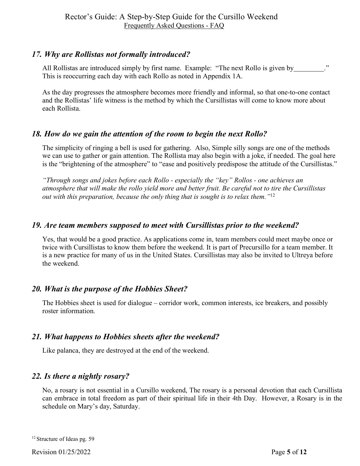# *17. Why are Rollistas not formally introduced?*

All Rollistas are introduced simply by first name. Example: "The next Rollo is given by ...................... This is reoccurring each day with each Rollo as noted in Appendix 1A.

As the day progresses the atmosphere becomes more friendly and informal, so that one-to-one contact and the Rollistas' life witness is the method by which the Cursillistas will come to know more about each Rollista.

# *18. How do we gain the attention of the room to begin the next Rollo?*

The simplicity of ringing a bell is used for gathering. Also, Simple silly songs are one of the methods we can use to gather or gain attention. The Rollista may also begin with a joke, if needed. The goal here is the "brightening of the atmosphere" to "ease and positively predispose the attitude of the Cursillistas."

*"Through songs and jokes before each Rollo - especially the "key" Rollos - one achieves an atmosphere that will make the rollo yield more and better fruit. Be careful not to tire the Cursillistas out with this preparation, because the only thing that is sought is to relax them."*<sup>12</sup>

# *19. Are team members supposed to meet with Cursillistas prior to the weekend?*

Yes, that would be a good practice. As applications come in, team members could meet maybe once or twice with Cursillistas to know them before the weekend. It is part of Precursillo for a team member. It is a new practice for many of us in the United States. Cursillistas may also be invited to Ultreya before the weekend.

# *20. What is the purpose of the Hobbies Sheet?*

The Hobbies sheet is used for dialogue – corridor work, common interests, ice breakers, and possibly roster information.

# *21. What happens to Hobbies sheets after the weekend?*

Like palanca, they are destroyed at the end of the weekend.

# *22. Is there a nightly rosary?*

No, a rosary is not essential in a Cursillo weekend, The rosary is a personal devotion that each Cursillista can embrace in total freedom as part of their spiritual life in their 4th Day. However, a Rosary is in the schedule on Mary's day, Saturday.

<sup>&</sup>lt;sup>12</sup> Structure of Ideas pg. 59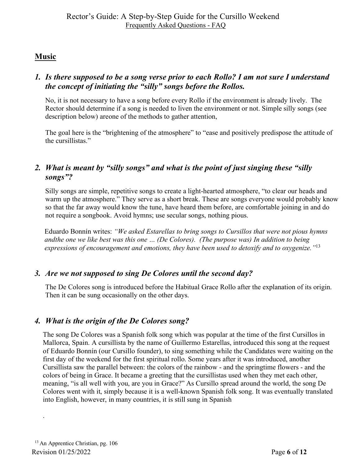# **Music**

# *1. Is there supposed to be a song verse prior to each Rollo? I am not sure I understand the concept of initiating the "silly" songs before the Rollos.*

No, it is not necessary to have a song before every Rollo if the environment is already lively. The Rector should determine if a song is needed to liven the environment or not. Simple silly songs (see description below) areone of the methods to gather attention,

The goal here is the "brightening of the atmosphere" to "ease and positively predispose the attitude of the cursillistas."

# *2. What is meant by "silly songs" and what is the point of just singing these "silly songs"?*

Silly songs are simple, repetitive songs to create a light-hearted atmosphere, "to clear our heads and warm up the atmosphere." They serve as a short break. These are songs everyone would probably know so that the far away would know the tune, have heard them before, are comfortable joining in and do not require a songbook. Avoid hymns; use secular songs, nothing pious.

Eduardo Bonnín writes: *"We asked Estarellas to bring songs to Cursillos that were not pious hymns andthe one we like best was this one … (De Colores). (The purpose was) In addition to being expressions of encouragement and emotions, they have been used to detoxify and to oxygenize."*<sup>13</sup>

# *3. Are we not supposed to sing De Colores until the second day?*

The De Colores song is introduced before the Habitual Grace Rollo after the explanation of its origin. Then it can be sung occasionally on the other days.

# *4. What is the origin of the De Colores song?*

The song De Colores was a Spanish folk song which was popular at the time of the first Cursillos in Mallorca, Spain. A cursillista by the name of Guillermo Estarellas, introduced this song at the request of Eduardo Bonnín (our Cursillo founder), to sing something while the Candidates were waiting on the first day of the weekend for the first spiritual rollo. Some years after it was introduced, another Cursillista saw the parallel between: the colors of the rainbow - and the springtime flowers - and the colors of being in Grace. It became a greeting that the cursillistas used when they met each other, meaning, "is all well with you, are you in Grace?" As Cursillo spread around the world, the song De Colores went with it, simply because it is a well-known Spanish folk song. It was eventually translated into English, however, in many countries, it is still sung in Spanish

.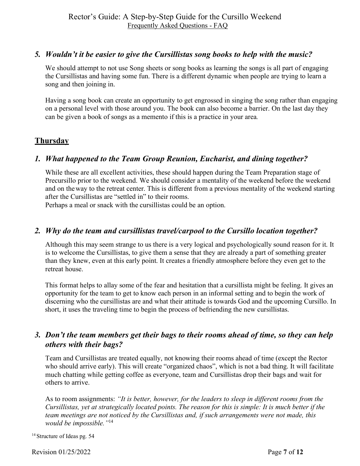# *5. Wouldn't it be easier to give the Cursillistas song books to help with the music?*

We should attempt to not use Song sheets or song books as learning the songs is all part of engaging the Cursillistas and having some fun. There is a different dynamic when people are trying to learn a song and then joining in.

Having a song book can create an opportunity to get engrossed in singing the song rather than engaging on a personal level with those around you. The book can also become a barrier. On the last day they can be given a book of songs as a memento if this is a practice in your area*.*

# **Thursday**

# *1. What happened to the Team Group Reunion, Eucharist, and dining together?*

While these are all excellent activities, these should happen during the Team Preparation stage of Precursillo prior to the weekend. We should consider a mentality of the weekend before the weekend and on the way to the retreat center. This is different from a previous mentality of the weekend starting after the Cursillistas are "settled in" to their rooms.

Perhaps a meal or snack with the cursillistas could be an option.

#### *2. Why do the team and cursillistas travel/carpool to the Cursillo location together?*

Although this may seem strange to us there is a very logical and psychologically sound reason for it. It is to welcome the Cursillistas, to give them a sense that they are already a part of something greater than they knew, even at this early point. It creates a friendly atmosphere before they even get to the retreat house.

This format helps to allay some of the fear and hesitation that a cursillista might be feeling. It gives an opportunity for the team to get to know each person in an informal setting and to begin the work of discerning who the cursillistas are and what their attitude is towards God and the upcoming Cursillo. In short, it uses the traveling time to begin the process of befriending the new cursillistas.

# *3. Don't the team members get their bags to their rooms ahead of time, so they can help others with their bags?*

Team and Cursillistas are treated equally, not knowing their rooms ahead of time (except the Rector who should arrive early). This will create "organized chaos", which is not a bad thing. It will facilitate much chatting while getting coffee as everyone, team and Cursillistas drop their bags and wait for others to arrive.

As to room assignments: *"It is better, however, for the leaders to sleep in different rooms from the Cursillistas, yet at strategically located points. The reason for this is simple: It is much better if the team meetings are not noticed by the Cursillistas and, if such arrangements were not made, this would be impossible."*<sup>14</sup>

<sup>14</sup> Structure of Ideas pg. 54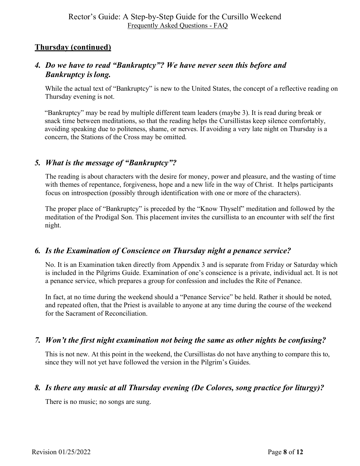# **Thursday (continued)**

# *4. Do we have to read "Bankruptcy"? We have never seen this before and Bankruptcy is long.*

While the actual text of "Bankruptcy" is new to the United States, the concept of a reflective reading on Thursday evening is not.

"Bankruptcy" may be read by multiple different team leaders (maybe 3). It is read during break or snack time between meditations, so that the reading helps the Cursillistas keep silence comfortably, avoiding speaking due to politeness, shame, or nerves. If avoiding a very late night on Thursday is a concern, the Stations of the Cross may be omitted.

# *5. What is the message of "Bankruptcy"?*

The reading is about characters with the desire for money, power and pleasure, and the wasting of time with themes of repentance, forgiveness, hope and a new life in the way of Christ. It helps participants focus on introspection (possibly through identification with one or more of the characters).

The proper place of "Bankruptcy" is preceded by the "Know Thyself" meditation and followed by the meditation of the Prodigal Son. This placement invites the cursillista to an encounter with self the first night.

# *6. Is the Examination of Conscience on Thursday night a penance service?*

No. It is an Examination taken directly from Appendix 3 and is separate from Friday or Saturday which is included in the Pilgrims Guide. Examination of one's conscience is a private, individual act. It is not a penance service, which prepares a group for confession and includes the Rite of Penance.

In fact, at no time during the weekend should a "Penance Service" be held. Rather it should be noted, and repeated often, that the Priest is available to anyone at any time during the course of the weekend for the Sacrament of Reconciliation.

# *7. Won't the first night examination not being the same as other nights be confusing?*

This is not new. At this point in the weekend, the Cursillistas do not have anything to compare this to, since they will not yet have followed the version in the Pilgrim's Guides.

# *8. Is there any music at all Thursday evening (De Colores, song practice for liturgy)?*

There is no music; no songs are sung.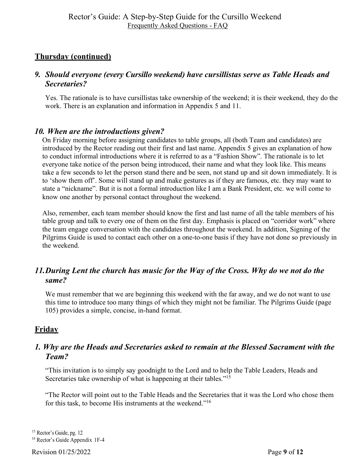# **Thursday (continued)**

# *9. Should everyone (every Cursillo weekend) have cursillistas serve as Table Heads and Secretaries?*

Yes. The rationale is to have cursillistas take ownership of the weekend; it is their weekend, they do the work. There is an explanation and information in Appendix 5 and 11.

# *10. When are the introductions given?*

On Friday morning before assigning candidates to table groups, all (both Team and candidates) are introduced by the Rector reading out their first and last name. Appendix 5 gives an explanation of how to conduct informal introductions where it is referred to as a "Fashion Show". The rationale is to let everyone take notice of the person being introduced, their name and what they look like. This means take a few seconds to let the person stand there and be seen, not stand up and sit down immediately. It is to 'show them off'. Some will stand up and make gestures as if they are famous, etc. they may want to state a "nickname". But it is not a formal introduction like I am a Bank President, etc. we will come to know one another by personal contact throughout the weekend.

Also, remember, each team member should know the first and last name of all the table members of his table group and talk to every one of them on the first day. Emphasis is placed on "corridor work" where the team engage conversation with the candidates throughout the weekend. In addition, Signing of the Pilgrims Guide is used to contact each other on a one-to-one basis if they have not done so previously in the weekend.

# *11.During Lent the church has music for the Way of the Cross. Why do we not do the same?*

We must remember that we are beginning this weekend with the far away, and we do not want to use this time to introduce too many things of which they might not be familiar. The Pilgrims Guide (page 105) provides a simple, concise, in-hand format.

# **Friday**

#### *1. Why are the Heads and Secretaries asked to remain at the Blessed Sacrament with the Team?*

"This invitation is to simply say goodnight to the Lord and to help the Table Leaders, Heads and Secretaries take ownership of what is happening at their tables."<sup>15</sup>

"The Rector will point out to the Table Heads and the Secretaries that it was the Lord who chose them for this task, to become His instruments at the weekend."16

<sup>&</sup>lt;sup>15</sup> Rector's Guide, pg. 12<br><sup>16</sup> Rector's Guide Appendix 1F-4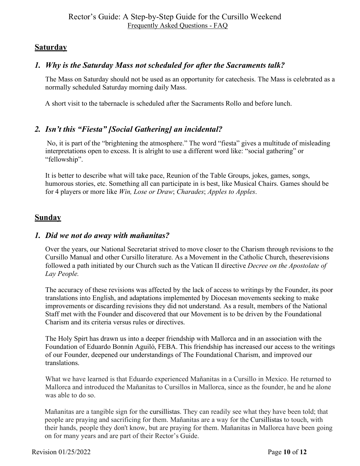# **Saturday**

# *1. Why is the Saturday Mass not scheduled for after the Sacraments talk?*

The Mass on Saturday should not be used as an opportunity for catechesis. The Mass is celebrated as a normally scheduled Saturday morning daily Mass.

A short visit to the tabernacle is scheduled after the Sacraments Rollo and before lunch.

# *2. Isn't this "Fiesta" [Social Gathering] an incidental?*

No, it is part of the "brightening the atmosphere." The word "fiesta" gives a multitude of misleading interpretations open to excess. It is alright to use a different word like: "social gathering" or "fellowship".

It is better to describe what will take pace, Reunion of the Table Groups, jokes, games, songs, humorous stories, etc. Something all can participate in is best, like Musical Chairs. Games should be for 4 players or more like *Win, Lose or Draw*; *Charades*; *Apples to Apples*.

# **Sunday**

#### *1. Did we not do away with mañanitas?*

Over the years, our National Secretariat strived to move closer to the Charism through revisions to the Cursillo Manual and other Cursillo literature. As a Movement in the Catholic Church, theserevisions followed a path initiated by our Church such as the Vatican II directive *Decree on the Apostolate of Lay People.*

The accuracy of these revisions was affected by the lack of access to writings by the Founder, its poor translations into English, and adaptations implemented by Diocesan movements seeking to make improvements or discarding revisions they did not understand. As a result, members of the National Staff met with the Founder and discovered that our Movement is to be driven by the Foundational Charism and its criteria versus rules or directives.

The Holy Spirt has drawn us into a deeper friendship with Mallorca and in an association with the Foundation of Eduardo Bonnín Aguiló, FEBA. This friendship has increased our access to the writings of our Founder, deepened our understandings of The Foundational Charism, and improved our translations.

What we have learned is that Eduardo experienced Mañanitas in a Cursillo in Mexico. He returned to Mallorca and introduced the Mañanitas to Cursillos in Mallorca, since as the founder, he and he alone was able to do so.

Mañanitas are a tangible sign for the cursillistas. They can readily see what they have been told; that people are praying and sacrificing for them. Mañanitas are a way for the Cursillistas to touch, with their hands, people they don't know, but are praying for them. Mañanitas in Mallorca have been going on for many years and are part of their Rector's Guide.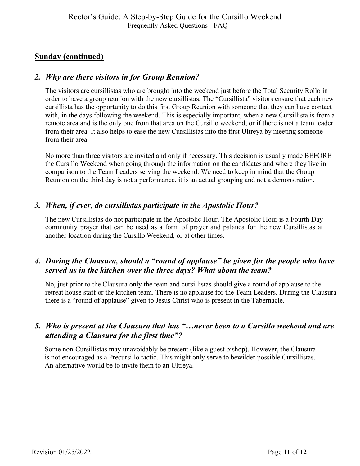# **Sunday (continued)**

#### *2. Why are there visitors in for Group Reunion?*

The visitors are cursillistas who are brought into the weekend just before the Total Security Rollo in order to have a group reunion with the new cursillistas. The "Cursillista" visitors ensure that each new cursillista has the opportunity to do this first Group Reunion with someone that they can have contact with, in the days following the weekend. This is especially important, when a new Cursillista is from a remote area and is the only one from that area on the Cursillo weekend, or if there is not a team leader from their area. It also helps to ease the new Cursillistas into the first Ultreya by meeting someone from their area.

No more than three visitors are invited and only if necessary. This decision is usually made BEFORE the Cursillo Weekend when going through the information on the candidates and where they live in comparison to the Team Leaders serving the weekend. We need to keep in mind that the Group Reunion on the third day is not a performance, it is an actual grouping and not a demonstration.

# *3. When, if ever, do cursillistas participate in the Apostolic Hour?*

The new Cursillistas do not participate in the Apostolic Hour. The Apostolic Hour is a Fourth Day community prayer that can be used as a form of prayer and palanca for the new Cursillistas at another location during the Cursillo Weekend, or at other times.

# *4. During the Clausura, should a "round of applause" be given for the people who have served us in the kitchen over the three days? What about the team?*

No, just prior to the Clausura only the team and cursillistas should give a round of applause to the retreat house staff or the kitchen team. There is no applause for the Team Leaders. During the Clausura there is a "round of applause" given to Jesus Christ who is present in the Tabernacle.

# *5. Who is present at the Clausura that has "…never been to a Cursillo weekend and are attending a Clausura for the first time"?*

Some non-Cursillistas may unavoidably be present (like a guest bishop). However, the Clausura is not encouraged as a Precursillo tactic. This might only serve to bewilder possible Cursillistas. An alternative would be to invite them to an Ultreya.